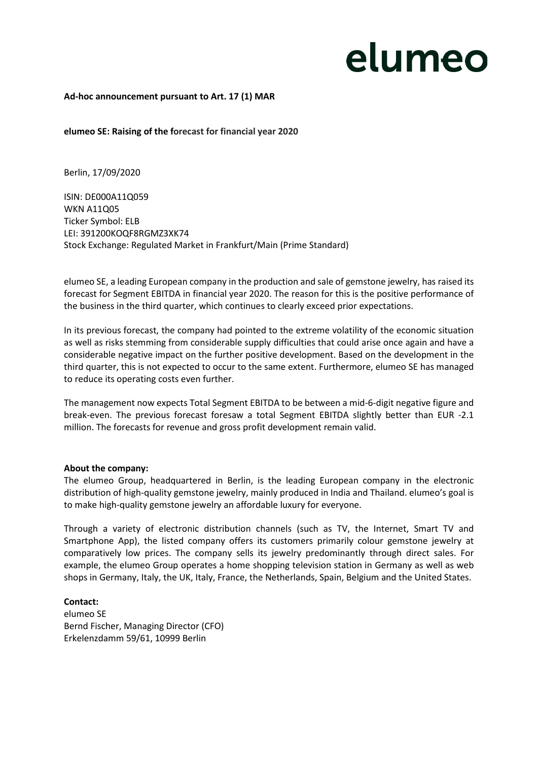## elumeo

#### **Ad-hoc announcement pursuant to Art. 17 (1) MAR**

**elumeo SE: Raising of the forecast for financial year 2020**

Berlin, 17/09/2020

ISIN: DE000A11Q059 WKN A11Q05 Ticker Symbol: ELB LEI: 391200KOQF8RGMZ3XK74 Stock Exchange: Regulated Market in Frankfurt/Main (Prime Standard)

elumeo SE, a leading European company in the production and sale of gemstone jewelry, has raised its forecast for Segment EBITDA in financial year 2020. The reason for this is the positive performance of the business in the third quarter, which continues to clearly exceed prior expectations.

In its previous forecast, the company had pointed to the extreme volatility of the economic situation as well as risks stemming from considerable supply difficulties that could arise once again and have a considerable negative impact on the further positive development. Based on the development in the third quarter, this is not expected to occur to the same extent. Furthermore, elumeo SE has managed to reduce its operating costs even further.

The management now expects Total Segment EBITDA to be between a mid-6-digit negative figure and break-even. The previous forecast foresaw a total Segment EBITDA slightly better than EUR -2.1 million. The forecasts for revenue and gross profit development remain valid.

#### **About the company:**

The elumeo Group, headquartered in Berlin, is the leading European company in the electronic distribution of high-quality gemstone jewelry, mainly produced in India and Thailand. elumeo's goal is to make high-quality gemstone jewelry an affordable luxury for everyone.

Through a variety of electronic distribution channels (such as TV, the Internet, Smart TV and Smartphone App), the listed company offers its customers primarily colour gemstone jewelry at comparatively low prices. The company sells its jewelry predominantly through direct sales. For example, the elumeo Group operates a home shopping television station in Germany as well as web shops in Germany, Italy, the UK, Italy, France, the Netherlands, Spain, Belgium and the United States.

### **Contact:**  elumeo SE Bernd Fischer, Managing Director (CFO) Erkelenzdamm 59/61, 10999 Berlin